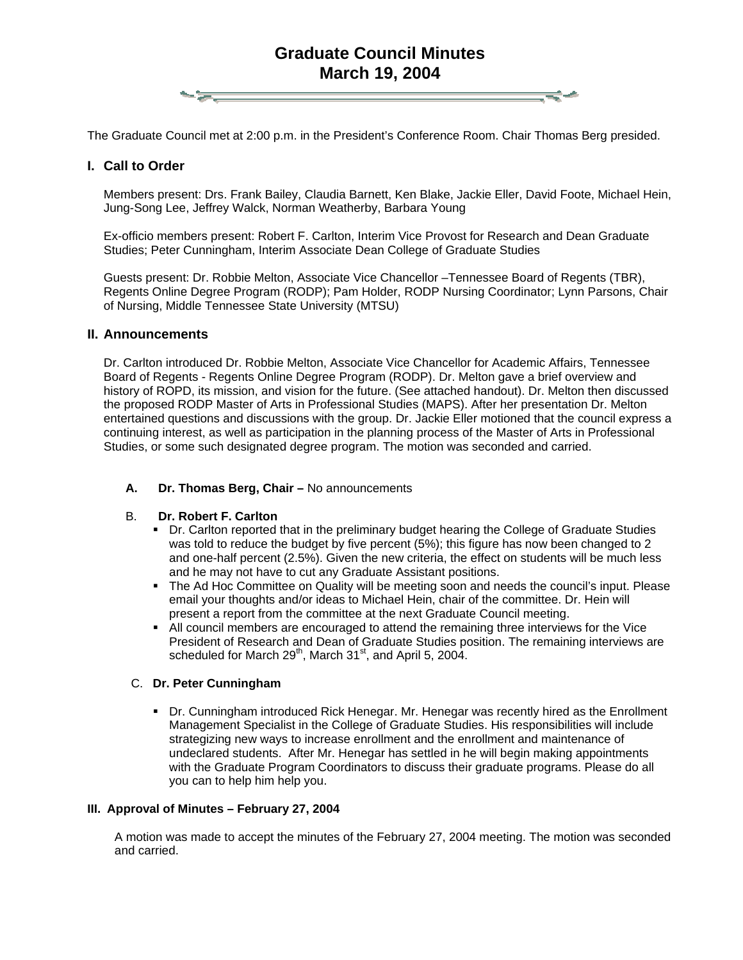# **Graduate Council Minutes March 19, 2004**

The Graduate Council met at 2:00 p.m. in the President's Conference Room. Chair Thomas Berg presided.

# **I. Call to Order**

Members present: Drs. Frank Bailey, Claudia Barnett, Ken Blake, Jackie Eller, David Foote, Michael Hein, Jung-Song Lee, Jeffrey Walck, Norman Weatherby, Barbara Young

Ex-officio members present: Robert F. Carlton, Interim Vice Provost for Research and Dean Graduate Studies; Peter Cunningham, Interim Associate Dean College of Graduate Studies

Guests present: Dr. Robbie Melton, Associate Vice Chancellor –Tennessee Board of Regents (TBR), Regents Online Degree Program (RODP); Pam Holder, RODP Nursing Coordinator; Lynn Parsons, Chair of Nursing, Middle Tennessee State University (MTSU)

# **II. Announcements**

Dr. Carlton introduced Dr. Robbie Melton, Associate Vice Chancellor for Academic Affairs, Tennessee Board of Regents - Regents Online Degree Program (RODP). Dr. Melton gave a brief overview and history of ROPD, its mission, and vision for the future. (See attached handout). Dr. Melton then discussed the proposed RODP Master of Arts in Professional Studies (MAPS). After her presentation Dr. Melton entertained questions and discussions with the group. Dr. Jackie Eller motioned that the council express a continuing interest, as well as participation in the planning process of the Master of Arts in Professional Studies, or some such designated degree program. The motion was seconded and carried.

### **A. Dr. Thomas Berg, Chair –** No announcements

### B. **Dr. Robert F. Carlton**

- Dr. Carlton reported that in the preliminary budget hearing the College of Graduate Studies was told to reduce the budget by five percent (5%); this figure has now been changed to 2 and one-half percent (2.5%). Given the new criteria, the effect on students will be much less and he may not have to cut any Graduate Assistant positions.
- The Ad Hoc Committee on Quality will be meeting soon and needs the council's input. Please email your thoughts and/or ideas to Michael Hein, chair of the committee. Dr. Hein will present a report from the committee at the next Graduate Council meeting.
- All council members are encouraged to attend the remaining three interviews for the Vice President of Research and Dean of Graduate Studies position. The remaining interviews are scheduled for March  $29<sup>th</sup>$ , March  $31<sup>st</sup>$ , and April 5, 2004.

### C. **Dr. Peter Cunningham**

 Dr. Cunningham introduced Rick Henegar. Mr. Henegar was recently hired as the Enrollment Management Specialist in the College of Graduate Studies. His responsibilities will include strategizing new ways to increase enrollment and the enrollment and maintenance of undeclared students. After Mr. Henegar has settled in he will begin making appointments with the Graduate Program Coordinators to discuss their graduate programs. Please do all you can to help him help you.

# **III. Approval of Minutes – February 27, 2004**

A motion was made to accept the minutes of the February 27, 2004 meeting. The motion was seconded and carried.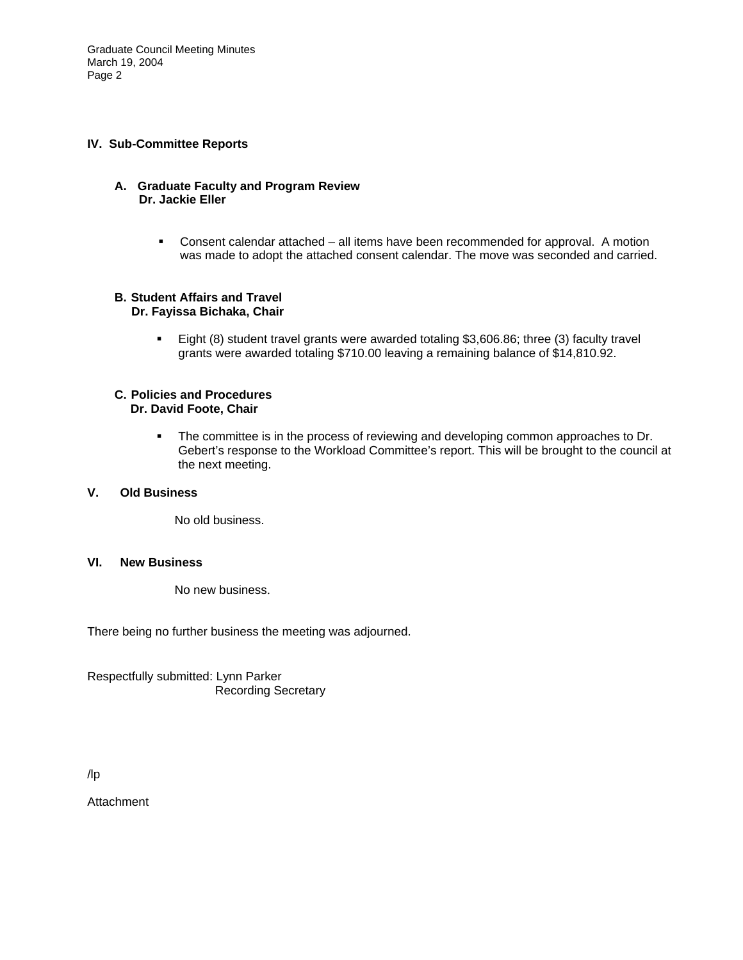Graduate Council Meeting Minutes March 19, 2004 Page 2

### **IV. Sub-Committee Reports**

### **A. Graduate Faculty and Program Review Dr. Jackie Eller**

 Consent calendar attached – all items have been recommended for approval. A motion was made to adopt the attached consent calendar. The move was seconded and carried.

#### **B. Student Affairs and Travel Dr. Fayissa Bichaka, Chair**

 Eight (8) student travel grants were awarded totaling \$3,606.86; three (3) faculty travel grants were awarded totaling \$710.00 leaving a remaining balance of \$14,810.92.

#### **C. Policies and Procedures Dr. David Foote, Chair**

**The committee is in the process of reviewing and developing common approaches to Dr.** Gebert's response to the Workload Committee's report. This will be brought to the council at the next meeting.

# **V. Old Business**

No old business.

### **VI. New Business**

No new business.

There being no further business the meeting was adjourned.

Respectfully submitted: Lynn Parker Recording Secretary

# /lp

Attachment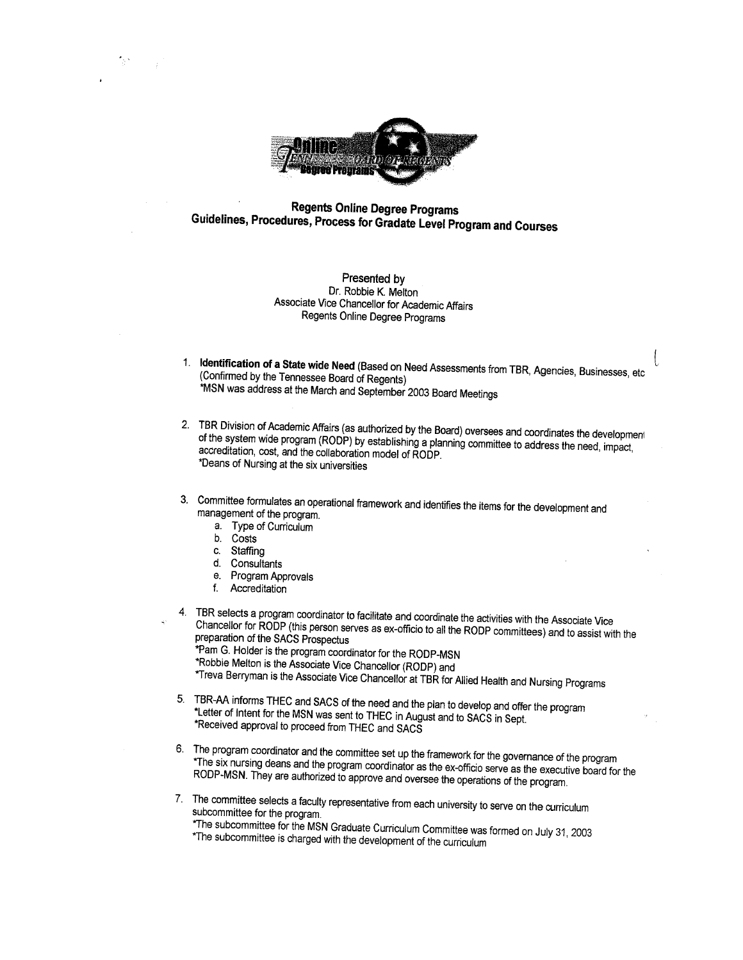

# **Regents Online Degree Programs** Guidelines, Procedures, Process for Gradate Level Program and Courses

#### Presented by Dr. Robbie K. Melton Associate Vice Chancellor for Academic Affairs Regents Online Degree Programs

- 1. Identification of a State wide Need (Based on Need Assessments from TBR, Agencies, Businesses, etc (Confirmed by the Tennessee Board of Regents) \*MSN was address at the March and September 2003 Board Meetings
- 2. TBR Division of Academic Affairs (as authorized by the Board) oversees and coordinates the development of the system wide program (RODP) by establishing a planning committee to address the need, impact, accreditation, cost, and the collaboration model of RODP. \*Deans of Nursing at the six universities
- 3. Committee formulates an operational framework and identifies the items for the development and management of the program.
	- a. Type of Curriculum
	- b. Costs
	- c. Staffing
	- d. Consultants
	- e. Program Approvals
	- f. Accreditation
- 4. TBR selects a program coordinator to facilitate and coordinate the activities with the Associate Vice Chancellor for RODP (this person serves as ex-officio to all the RODP committees) and to assist with the preparation of the SACS Prospectus
	- \*Pam G. Holder is the program coordinator for the RODP-MSN
	- \*Robbie Melton is the Associate Vice Chancellor (RODP) and
	- \*Treva Berryman is the Associate Vice Chancellor at TBR for Allied Health and Nursing Programs
- 5. TBR-AA informs THEC and SACS of the need and the plan to develop and offer the program \*Letter of Intent for the MSN was sent to THEC in August and to SACS in Sept. \*Received approval to proceed from THEC and SACS
- 6. The program coordinator and the committee set up the framework for the governance of the program \*The six nursing deans and the program coordinator as the ex-officio serve as the executive board for the RODP-MSN. They are authorized to approve and oversee the operations of the program.
- 7. The committee selects a faculty representative from each university to serve on the curriculum subcommittee for the program.
	- \*The subcommittee for the MSN Graduate Curriculum Committee was formed on July 31, 2003 \*The subcommittee is charged with the development of the curriculum